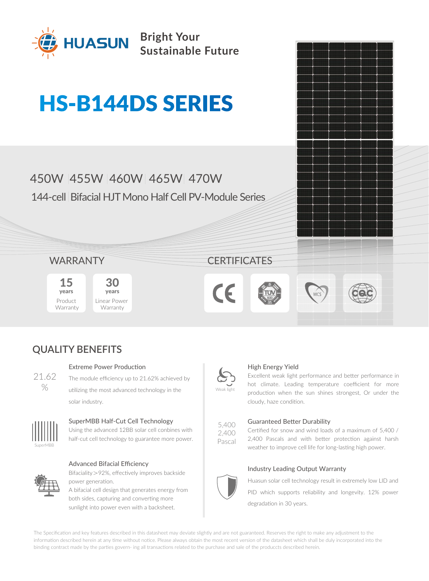

**Bright Your Sustainable Future**

# **HS-B144DS SERIES**

# 450W 455W 460W 465W 470W

144-cell Bifacial HJT Mono Half Cell PV-Module Series

### WARRANTY CERTIFICATES

Product Warranty 15 years

Linear Power Warranty 30 years











### Extreme Power Production

The module efficiency up to 21.62% achieved by utilizing the most advanced technology in the solar industry.



### SuperMBB Half-Cut Cell Technology

Using the advanced 12BB solar cell conbines with half-cut cell technology to guarantee more power.



### Advanced Bifacial Efficiency

power generation. A bifacial cell design that generates energy from both sides, capturing and converting more sunlight into power even with a backsheet.

Bifaciality>92%, effectively improves backside



5,400 2,400 Pascal

### High Energy Yield

Excellent weak light performance and better performance in hot climate. Leading temperature coefficient for more production when the sun shines strongest, Or under the cloudy, haze condition.

#### Guaranteed Better Durability

Certified for snow and wind loads of a maximum of 5,400 / 2,400 Pascals and with better protection against harsh weather to improve cell life for long-lasting high power.

### Industry Leading Output Warranty

Huasun solar cell technology result in extremely low LID and PID which supports reliability and longevity. 12% power degradation in 30 years.

The Specification and key features described in this datasheet may deviate slightly and are not guaranteed. Reserves the right to make any adjustment to the information described herein at any time without notice. Please always obtain the most recent version of the datasheet which shall be duly incorporated into the binding contract made by the parties govern- ing all transactions related to the purchase and sale of the produccts described herein.